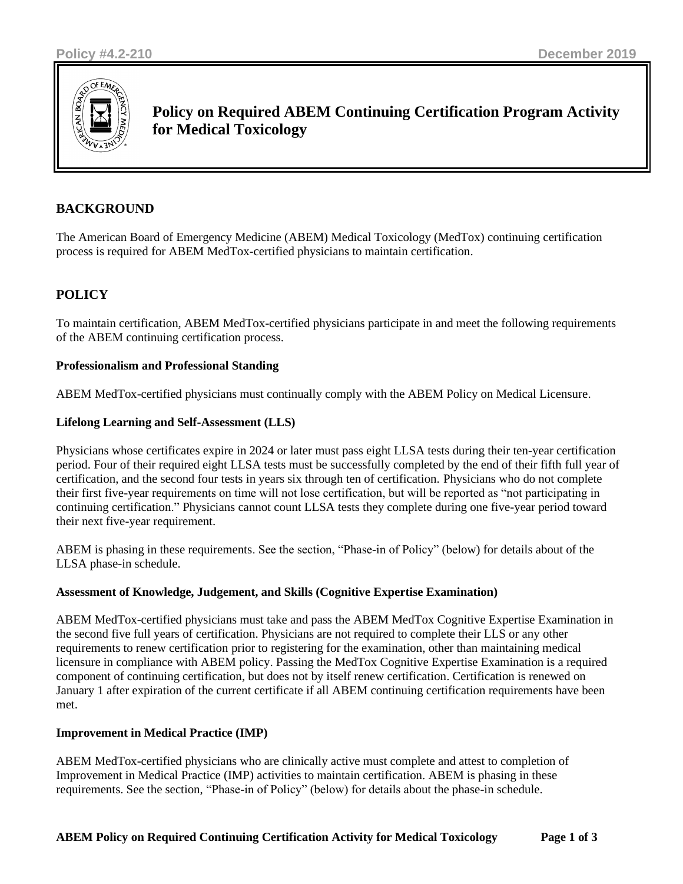

**Policy on Required ABEM Continuing Certification Program Activity for Medical Toxicology**

# **BACKGROUND**

The American Board of Emergency Medicine (ABEM) Medical Toxicology (MedTox) continuing certification process is required for ABEM MedTox-certified physicians to maintain certification.

# **POLICY**

To maintain certification, ABEM MedTox-certified physicians participate in and meet the following requirements of the ABEM continuing certification process.

## **Professionalism and Professional Standing**

ABEM MedTox-certified physicians must continually comply with the ABEM Policy on Medical Licensure.

## **Lifelong Learning and Self-Assessment (LLS)**

Physicians whose certificates expire in 2024 or later must pass eight LLSA tests during their ten-year certification period. Four of their required eight LLSA tests must be successfully completed by the end of their fifth full year of certification, and the second four tests in years six through ten of certification. Physicians who do not complete their first five-year requirements on time will not lose certification, but will be reported as "not participating in continuing certification." Physicians cannot count LLSA tests they complete during one five-year period toward their next five-year requirement.

ABEM is phasing in these requirements. See the section, "Phase-in of Policy" (below) for details about of the LLSA phase-in schedule.

#### **Assessment of Knowledge, Judgement, and Skills (Cognitive Expertise Examination)**

ABEM MedTox-certified physicians must take and pass the ABEM MedTox Cognitive Expertise Examination in the second five full years of certification. Physicians are not required to complete their LLS or any other requirements to renew certification prior to registering for the examination, other than maintaining medical licensure in compliance with ABEM policy. Passing the MedTox Cognitive Expertise Examination is a required component of continuing certification, but does not by itself renew certification. Certification is renewed on January 1 after expiration of the current certificate if all ABEM continuing certification requirements have been met.

#### **Improvement in Medical Practice (IMP)**

ABEM MedTox-certified physicians who are clinically active must complete and attest to completion of Improvement in Medical Practice (IMP) activities to maintain certification. ABEM is phasing in these requirements. See the section, "Phase-in of Policy" (below) for details about the phase-in schedule.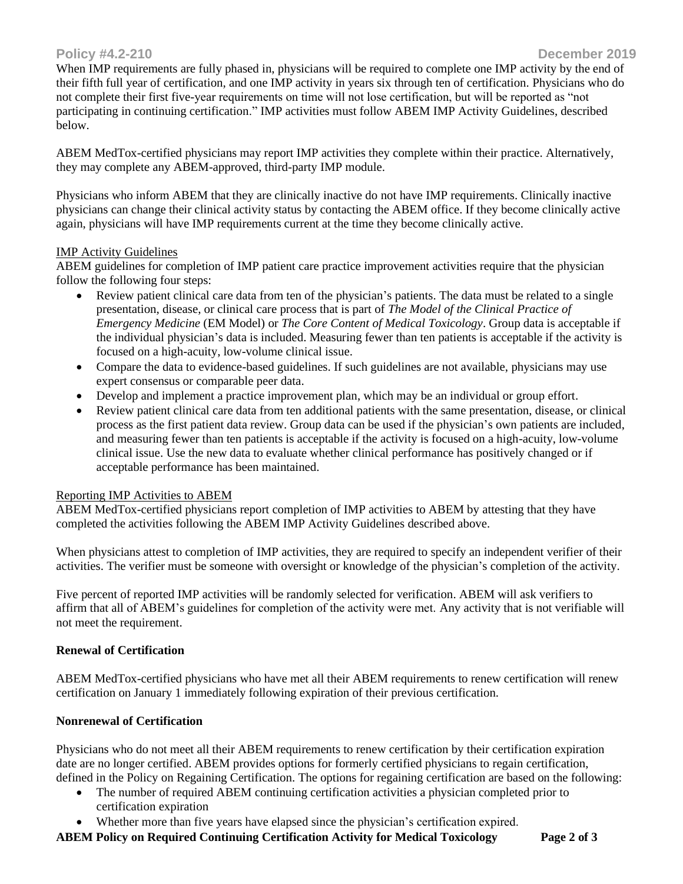When IMP requirements are fully phased in, physicians will be required to complete one IMP activity by the end of their fifth full year of certification, and one IMP activity in years six through ten of certification. Physicians who do not complete their first five-year requirements on time will not lose certification, but will be reported as "not participating in continuing certification." IMP activities must follow ABEM IMP Activity Guidelines, described below.

ABEM MedTox-certified physicians may report IMP activities they complete within their practice. Alternatively, they may complete any ABEM-approved, third-party IMP module.

Physicians who inform ABEM that they are clinically inactive do not have IMP requirements. Clinically inactive physicians can change their clinical activity status by contacting the ABEM office. If they become clinically active again, physicians will have IMP requirements current at the time they become clinically active.

## IMP Activity Guidelines

ABEM guidelines for completion of IMP patient care practice improvement activities require that the physician follow the following four steps:

- Review patient clinical care data from ten of the physician's patients. The data must be related to a single presentation, disease, or clinical care process that is part of *The Model of the Clinical Practice of Emergency Medicine* (EM Model) or *The Core Content of Medical Toxicology*. Group data is acceptable if the individual physician's data is included. Measuring fewer than ten patients is acceptable if the activity is focused on a high-acuity, low-volume clinical issue.
- Compare the data to evidence-based guidelines. If such guidelines are not available, physicians may use expert consensus or comparable peer data.
- Develop and implement a practice improvement plan, which may be an individual or group effort.
- Review patient clinical care data from ten additional patients with the same presentation, disease, or clinical process as the first patient data review. Group data can be used if the physician's own patients are included, and measuring fewer than ten patients is acceptable if the activity is focused on a high-acuity, low-volume clinical issue. Use the new data to evaluate whether clinical performance has positively changed or if acceptable performance has been maintained.

# Reporting IMP Activities to ABEM

ABEM MedTox-certified physicians report completion of IMP activities to ABEM by attesting that they have completed the activities following the ABEM IMP Activity Guidelines described above.

When physicians attest to completion of IMP activities, they are required to specify an independent verifier of their activities. The verifier must be someone with oversight or knowledge of the physician's completion of the activity.

Five percent of reported IMP activities will be randomly selected for verification. ABEM will ask verifiers to affirm that all of ABEM's guidelines for completion of the activity were met. Any activity that is not verifiable will not meet the requirement.

# **Renewal of Certification**

ABEM MedTox-certified physicians who have met all their ABEM requirements to renew certification will renew certification on January 1 immediately following expiration of their previous certification.

# **Nonrenewal of Certification**

Physicians who do not meet all their ABEM requirements to renew certification by their certification expiration date are no longer certified. ABEM provides options for formerly certified physicians to regain certification, defined in the Policy on Regaining Certification. The options for regaining certification are based on the following:

- The number of required ABEM continuing certification activities a physician completed prior to certification expiration
- Whether more than five years have elapsed since the physician's certification expired.

**ABEM Policy on Required Continuing Certification Activity for Medical Toxicology Page 2 of 3**